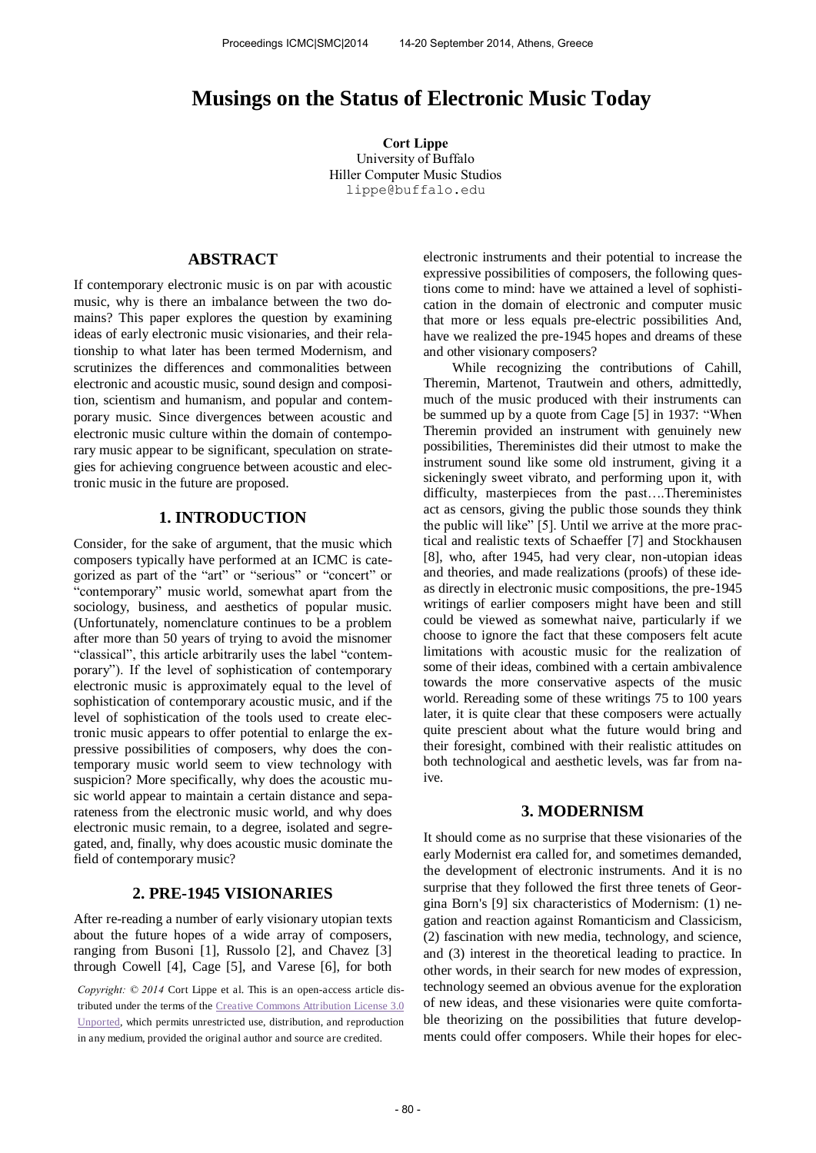# **Musings on the Status of Electronic Music Today**

**Cort Lippe**  University of Buffalo Hiller Computer Music Studios lippe@buffalo.edu

## **ABSTRACT**

If contemporary electronic music is on par with acoustic music, why is there an imbalance between the two domains? This paper explores the question by examining ideas of early electronic music visionaries, and their relationship to what later has been termed Modernism, and scrutinizes the differences and commonalities between electronic and acoustic music, sound design and composition, scientism and humanism, and popular and contemporary music. Since divergences between acoustic and electronic music culture within the domain of contemporary music appear to be significant, speculation on strategies for achieving congruence between acoustic and electronic music in the future are proposed.

## **1. INTRODUCTION**

Consider, for the sake of argument, that the music which composers typically have performed at an ICMC is categorized as part of the "art" or "serious" or "concert" or "contemporary" music world, somewhat apart from the sociology, business, and aesthetics of popular music. (Unfortunately, nomenclature continues to be a problem after more than 50 years of trying to avoid the misnomer "classical", this article arbitrarily uses the label "contemporary"). If the level of sophistication of contemporary electronic music is approximately equal to the level of sophistication of contemporary acoustic music, and if the level of sophistication of the tools used to create electronic music appears to offer potential to enlarge the expressive possibilities of composers, why does the contemporary music world seem to view technology with suspicion? More specifically, why does the acoustic music world appear to maintain a certain distance and separateness from the electronic music world, and why does electronic music remain, to a degree, isolated and segregated, and, finally, why does acoustic music dominate the field of contemporary music?

# **2. PRE-1945 VISIONARIES**

After re-reading a number of early visionary utopian texts about the future hopes of a wide array of composers, ranging from Busoni [1], Russolo [2], and Chavez [3] through Cowell [4], Cage [5], and Varese [6], for both

*Copyright: © 2014* Cort Lippe et al. This is an open-access article distributed under the terms of th[e Creative Commons Attribution License 3.0](http://creativecommons.org/licenses/by/3.0/)  [Unported,](http://creativecommons.org/licenses/by/3.0/) which permits unrestricted use, distribution, and reproduction in any medium, provided the original author and source are credited.

electronic instruments and their potential to increase the expressive possibilities of composers, the following questions come to mind: have we attained a level of sophistication in the domain of electronic and computer music that more or less equals pre-electric possibilities And, have we realized the pre-1945 hopes and dreams of these and other visionary composers?

While recognizing the contributions of Cahill, Theremin, Martenot, Trautwein and others, admittedly, much of the music produced with their instruments can be summed up by a quote from Cage [5] in 1937: "When Theremin provided an instrument with genuinely new possibilities, Thereministes did their utmost to make the instrument sound like some old instrument, giving it a sickeningly sweet vibrato, and performing upon it, with difficulty, masterpieces from the past….Thereministes act as censors, giving the public those sounds they think the public will like" [5]. Until we arrive at the more practical and realistic texts of Schaeffer [7] and Stockhausen [8], who, after 1945, had very clear, non-utopian ideas and theories, and made realizations (proofs) of these ideas directly in electronic music compositions, the pre-1945 writings of earlier composers might have been and still could be viewed as somewhat naive, particularly if we choose to ignore the fact that these composers felt acute limitations with acoustic music for the realization of some of their ideas, combined with a certain ambivalence towards the more conservative aspects of the music world. Rereading some of these writings 75 to 100 years later, it is quite clear that these composers were actually quite prescient about what the future would bring and their foresight, combined with their realistic attitudes on both technological and aesthetic levels, was far from naive.

#### **3. MODERNISM**

It should come as no surprise that these visionaries of the early Modernist era called for, and sometimes demanded, the development of electronic instruments. And it is no surprise that they followed the first three tenets of Georgina Born's [9] six characteristics of Modernism: (1) negation and reaction against Romanticism and Classicism, (2) fascination with new media, technology, and science, and (3) interest in the theoretical leading to practice. In other words, in their search for new modes of expression, technology seemed an obvious avenue for the exploration of new ideas, and these visionaries were quite comfortable theorizing on the possibilities that future developments could offer composers. While their hopes for elec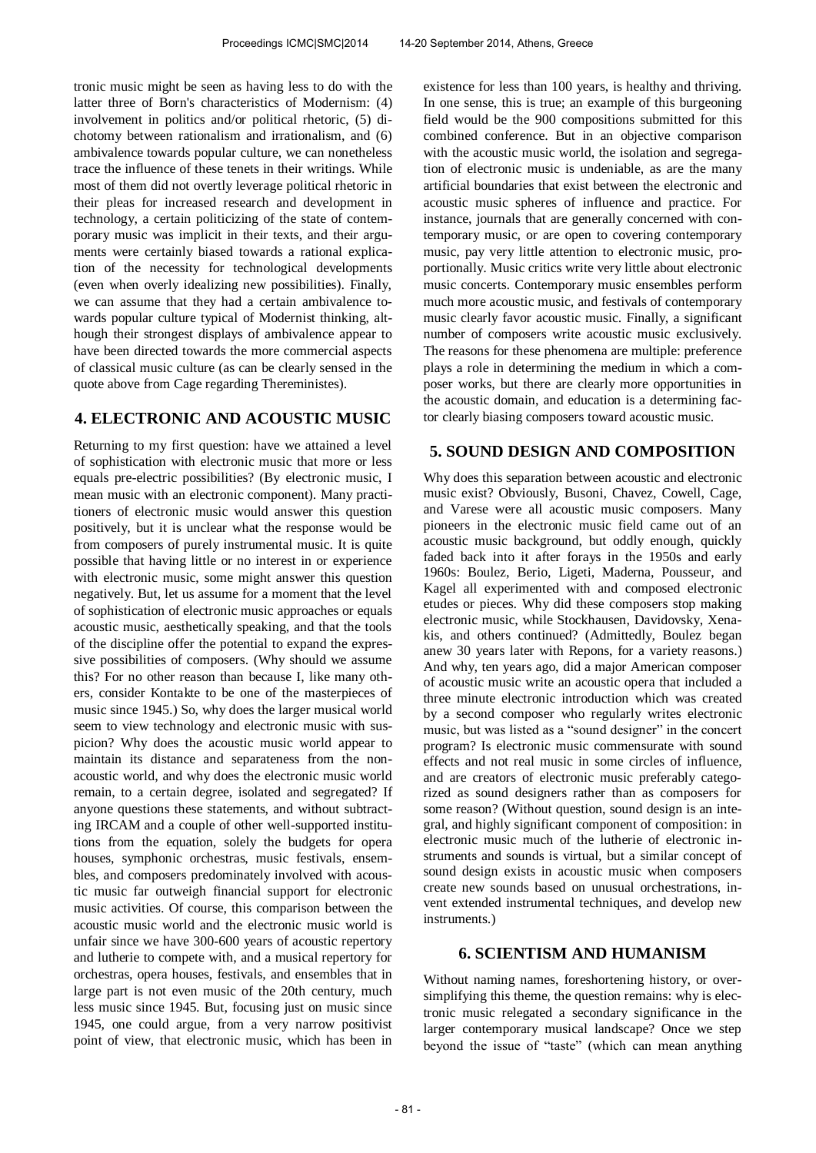tronic music might be seen as having less to do with the latter three of Born's characteristics of Modernism: (4) involvement in politics and/or political rhetoric, (5) dichotomy between rationalism and irrationalism, and (6) ambivalence towards popular culture, we can nonetheless trace the influence of these tenets in their writings. While most of them did not overtly leverage political rhetoric in their pleas for increased research and development in technology, a certain politicizing of the state of contemporary music was implicit in their texts, and their arguments were certainly biased towards a rational explication of the necessity for technological developments (even when overly idealizing new possibilities). Finally, we can assume that they had a certain ambivalence towards popular culture typical of Modernist thinking, although their strongest displays of ambivalence appear to have been directed towards the more commercial aspects of classical music culture (as can be clearly sensed in the quote above from Cage regarding Thereministes).

# **4. ELECTRONIC AND ACOUSTIC MUSIC**

Returning to my first question: have we attained a level of sophistication with electronic music that more or less equals pre-electric possibilities? (By electronic music, I mean music with an electronic component). Many practitioners of electronic music would answer this question positively, but it is unclear what the response would be from composers of purely instrumental music. It is quite possible that having little or no interest in or experience with electronic music, some might answer this question negatively. But, let us assume for a moment that the level of sophistication of electronic music approaches or equals acoustic music, aesthetically speaking, and that the tools of the discipline offer the potential to expand the expressive possibilities of composers. (Why should we assume this? For no other reason than because I, like many others, consider Kontakte to be one of the masterpieces of music since 1945.) So, why does the larger musical world seem to view technology and electronic music with suspicion? Why does the acoustic music world appear to maintain its distance and separateness from the nonacoustic world, and why does the electronic music world remain, to a certain degree, isolated and segregated? If anyone questions these statements, and without subtracting IRCAM and a couple of other well-supported institutions from the equation, solely the budgets for opera houses, symphonic orchestras, music festivals, ensembles, and composers predominately involved with acoustic music far outweigh financial support for electronic music activities. Of course, this comparison between the acoustic music world and the electronic music world is unfair since we have 300-600 years of acoustic repertory and lutherie to compete with, and a musical repertory for orchestras, opera houses, festivals, and ensembles that in large part is not even music of the 20th century, much less music since 1945. But, focusing just on music since 1945, one could argue, from a very narrow positivist point of view, that electronic music, which has been in

existence for less than 100 years, is healthy and thriving. In one sense, this is true; an example of this burgeoning field would be the 900 compositions submitted for this combined conference. But in an objective comparison with the acoustic music world, the isolation and segregation of electronic music is undeniable, as are the many artificial boundaries that exist between the electronic and acoustic music spheres of influence and practice. For instance, journals that are generally concerned with contemporary music, or are open to covering contemporary music, pay very little attention to electronic music, proportionally. Music critics write very little about electronic music concerts. Contemporary music ensembles perform much more acoustic music, and festivals of contemporary music clearly favor acoustic music. Finally, a significant number of composers write acoustic music exclusively. The reasons for these phenomena are multiple: preference plays a role in determining the medium in which a composer works, but there are clearly more opportunities in the acoustic domain, and education is a determining factor clearly biasing composers toward acoustic music.

# **5. SOUND DESIGN AND COMPOSITION**

Why does this separation between acoustic and electronic music exist? Obviously, Busoni, Chavez, Cowell, Cage, and Varese were all acoustic music composers. Many pioneers in the electronic music field came out of an acoustic music background, but oddly enough, quickly faded back into it after forays in the 1950s and early 1960s: Boulez, Berio, Ligeti, Maderna, Pousseur, and Kagel all experimented with and composed electronic etudes or pieces. Why did these composers stop making electronic music, while Stockhausen, Davidovsky, Xenakis, and others continued? (Admittedly, Boulez began anew 30 years later with Repons, for a variety reasons.) And why, ten years ago, did a major American composer of acoustic music write an acoustic opera that included a three minute electronic introduction which was created by a second composer who regularly writes electronic music, but was listed as a "sound designer" in the concert program? Is electronic music commensurate with sound effects and not real music in some circles of influence, and are creators of electronic music preferably categorized as sound designers rather than as composers for some reason? (Without question, sound design is an integral, and highly significant component of composition: in electronic music much of the lutherie of electronic instruments and sounds is virtual, but a similar concept of sound design exists in acoustic music when composers create new sounds based on unusual orchestrations, invent extended instrumental techniques, and develop new instruments.)

## **6. SCIENTISM AND HUMANISM**

Without naming names, foreshortening history, or oversimplifying this theme, the question remains: why is electronic music relegated a secondary significance in the larger contemporary musical landscape? Once we step beyond the issue of "taste" (which can mean anything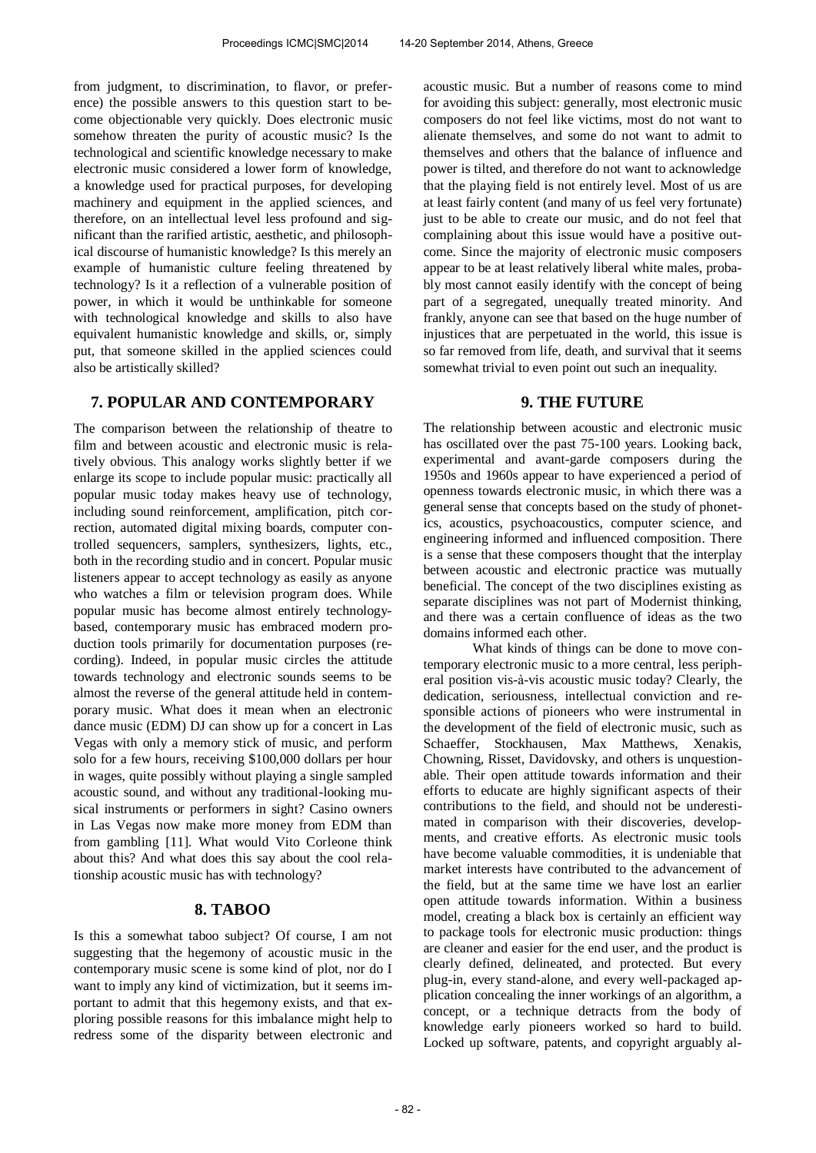from judgment, to discrimination, to flavor, or preference) the possible answers to this question start to become objectionable very quickly. Does electronic music somehow threaten the purity of acoustic music? Is the technological and scientific knowledge necessary to make electronic music considered a lower form of knowledge, a knowledge used for practical purposes, for developing machinery and equipment in the applied sciences, and therefore, on an intellectual level less profound and significant than the rarified artistic, aesthetic, and philosophical discourse of humanistic knowledge? Is this merely an example of humanistic culture feeling threatened by technology? Is it a reflection of a vulnerable position of power, in which it would be unthinkable for someone with technological knowledge and skills to also have equivalent humanistic knowledge and skills, or, simply put, that someone skilled in the applied sciences could also be artistically skilled?

# **7. POPULAR AND CONTEMPORARY**

The comparison between the relationship of theatre to film and between acoustic and electronic music is relatively obvious. This analogy works slightly better if we enlarge its scope to include popular music: practically all popular music today makes heavy use of technology, including sound reinforcement, amplification, pitch correction, automated digital mixing boards, computer controlled sequencers, samplers, synthesizers, lights, etc., both in the recording studio and in concert. Popular music listeners appear to accept technology as easily as anyone who watches a film or television program does. While popular music has become almost entirely technologybased, contemporary music has embraced modern production tools primarily for documentation purposes (recording). Indeed, in popular music circles the attitude towards technology and electronic sounds seems to be almost the reverse of the general attitude held in contemporary music. What does it mean when an electronic dance music (EDM) DJ can show up for a concert in Las Vegas with only a memory stick of music, and perform solo for a few hours, receiving \$100,000 dollars per hour in wages, quite possibly without playing a single sampled acoustic sound, and without any traditional-looking musical instruments or performers in sight? Casino owners in Las Vegas now make more money from EDM than from gambling [11]. What would Vito Corleone think about this? And what does this say about the cool relationship acoustic music has with technology?

## **8. TABOO**

Is this a somewhat taboo subject? Of course, I am not suggesting that the hegemony of acoustic music in the contemporary music scene is some kind of plot, nor do I want to imply any kind of victimization, but it seems important to admit that this hegemony exists, and that exploring possible reasons for this imbalance might help to redress some of the disparity between electronic and acoustic music. But a number of reasons come to mind for avoiding this subject: generally, most electronic music composers do not feel like victims, most do not want to alienate themselves, and some do not want to admit to themselves and others that the balance of influence and power is tilted, and therefore do not want to acknowledge that the playing field is not entirely level. Most of us are at least fairly content (and many of us feel very fortunate) just to be able to create our music, and do not feel that complaining about this issue would have a positive outcome. Since the majority of electronic music composers appear to be at least relatively liberal white males, probably most cannot easily identify with the concept of being part of a segregated, unequally treated minority. And frankly, anyone can see that based on the huge number of injustices that are perpetuated in the world, this issue is so far removed from life, death, and survival that it seems somewhat trivial to even point out such an inequality.

### **9. THE FUTURE**

The relationship between acoustic and electronic music has oscillated over the past 75-100 years. Looking back, experimental and avant-garde composers during the 1950s and 1960s appear to have experienced a period of openness towards electronic music, in which there was a general sense that concepts based on the study of phonetics, acoustics, psychoacoustics, computer science, and engineering informed and influenced composition. There is a sense that these composers thought that the interplay between acoustic and electronic practice was mutually beneficial. The concept of the two disciplines existing as separate disciplines was not part of Modernist thinking, and there was a certain confluence of ideas as the two domains informed each other.

What kinds of things can be done to move contemporary electronic music to a more central, less peripheral position vis-à-vis acoustic music today? Clearly, the dedication, seriousness, intellectual conviction and responsible actions of pioneers who were instrumental in the development of the field of electronic music, such as Schaeffer, Stockhausen, Max Matthews, Xenakis, Chowning, Risset, Davidovsky, and others is unquestionable. Their open attitude towards information and their efforts to educate are highly significant aspects of their contributions to the field, and should not be underestimated in comparison with their discoveries, developments, and creative efforts. As electronic music tools have become valuable commodities, it is undeniable that market interests have contributed to the advancement of the field, but at the same time we have lost an earlier open attitude towards information. Within a business model, creating a black box is certainly an efficient way to package tools for electronic music production: things are cleaner and easier for the end user, and the product is clearly defined, delineated, and protected. But every plug-in, every stand-alone, and every well-packaged application concealing the inner workings of an algorithm, a concept, or a technique detracts from the body of knowledge early pioneers worked so hard to build. Locked up software, patents, and copyright arguably al